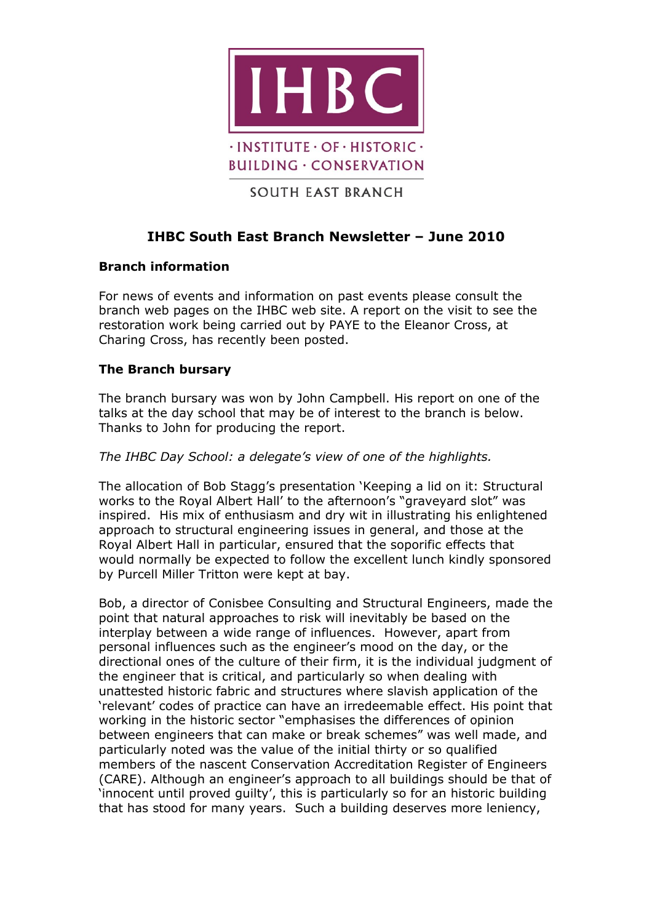

# **IHBC South East Branch Newsletter – June 2010**

## **Branch information**

For news of events and information on past events please consult the branch web pages on the IHBC web site. A report on the visit to see the restoration work being carried out by PAYE to the Eleanor Cross, at Charing Cross, has recently been posted.

## **The Branch bursary**

The branch bursary was won by John Campbell. His report on one of the talks at the day school that may be of interest to the branch is below. Thanks to John for producing the report.

## *The IHBC Day School: a delegate's view of one of the highlights.*

The allocation of Bob Stagg's presentation 'Keeping a lid on it: Structural works to the Royal Albert Hall' to the afternoon's "graveyard slot" was inspired. His mix of enthusiasm and dry wit in illustrating his enlightened approach to structural engineering issues in general, and those at the Royal Albert Hall in particular, ensured that the soporific effects that would normally be expected to follow the excellent lunch kindly sponsored by Purcell Miller Tritton were kept at bay.

Bob, a director of Conisbee Consulting and Structural Engineers, made the point that natural approaches to risk will inevitably be based on the interplay between a wide range of influences. However, apart from personal influences such as the engineer's mood on the day, or the directional ones of the culture of their firm, it is the individual judgment of the engineer that is critical, and particularly so when dealing with unattested historic fabric and structures where slavish application of the 'relevant' codes of practice can have an irredeemable effect. His point that working in the historic sector "emphasises the differences of opinion between engineers that can make or break schemes" was well made, and particularly noted was the value of the initial thirty or so qualified members of the nascent Conservation Accreditation Register of Engineers (CARE). Although an engineer's approach to all buildings should be that of 'innocent until proved guilty', this is particularly so for an historic building that has stood for many years. Such a building deserves more leniency,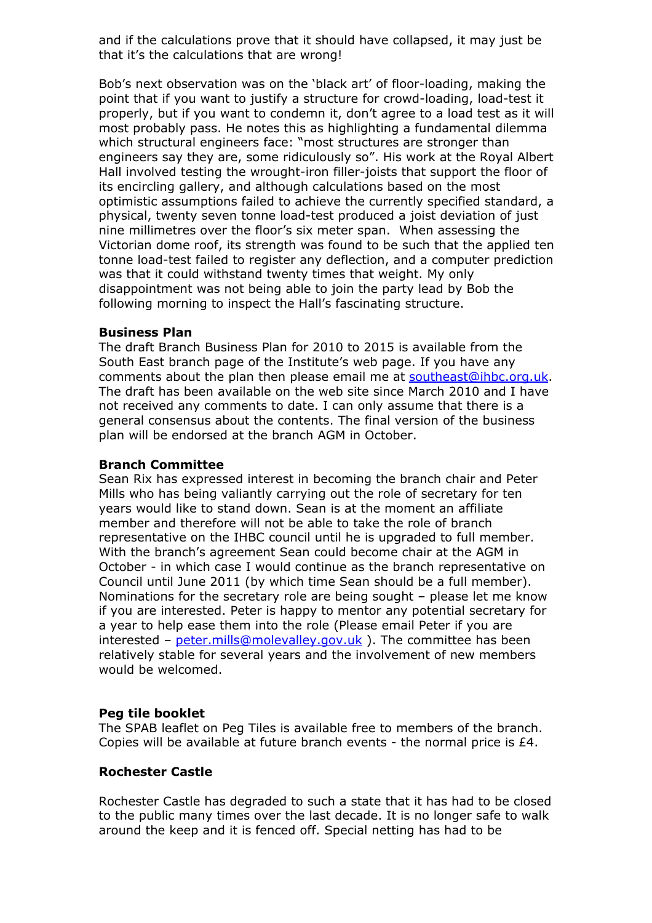and if the calculations prove that it should have collapsed, it may just be that it's the calculations that are wrong!

Bob's next observation was on the 'black art' of floor-loading, making the point that if you want to justify a structure for crowd-loading, load-test it properly, but if you want to condemn it, don't agree to a load test as it will most probably pass. He notes this as highlighting a fundamental dilemma which structural engineers face: "most structures are stronger than engineers say they are, some ridiculously so". His work at the Royal Albert Hall involved testing the wrought-iron filler-joists that support the floor of its encircling gallery, and although calculations based on the most optimistic assumptions failed to achieve the currently specified standard, a physical, twenty seven tonne load-test produced a joist deviation of just nine millimetres over the floor's six meter span. When assessing the Victorian dome roof, its strength was found to be such that the applied ten tonne load-test failed to register any deflection, and a computer prediction was that it could withstand twenty times that weight. My only disappointment was not being able to join the party lead by Bob the following morning to inspect the Hall's fascinating structure.

## **Business Plan**

The draft Branch Business Plan for 2010 to 2015 is available from the South East branch page of the Institute's web page. If you have any comments about the plan then please email me at [southeast@ihbc.org.uk.](mailto:southeast@ihbc.org.uk) The draft has been available on the web site since March 2010 and I have not received any comments to date. I can only assume that there is a general consensus about the contents. The final version of the business plan will be endorsed at the branch AGM in October.

#### **Branch Committee**

Sean Rix has expressed interest in becoming the branch chair and Peter Mills who has being valiantly carrying out the role of secretary for ten years would like to stand down. Sean is at the moment an affiliate member and therefore will not be able to take the role of branch representative on the IHBC council until he is upgraded to full member. With the branch's agreement Sean could become chair at the AGM in October - in which case I would continue as the branch representative on Council until June 2011 (by which time Sean should be a full member). Nominations for the secretary role are being sought – please let me know if you are interested. Peter is happy to mentor any potential secretary for a year to help ease them into the role (Please email Peter if you are interested –  $peter.mills@molevalley.gov.uk$ ). The committee has been relatively stable for several years and the involvement of new members would be welcomed.

## **Peg tile booklet**

The SPAB leaflet on Peg Tiles is available free to members of the branch. Copies will be available at future branch events - the normal price is £4.

## **Rochester Castle**

Rochester Castle has degraded to such a state that it has had to be closed to the public many times over the last decade. It is no longer safe to walk around the keep and it is fenced off. Special netting has had to be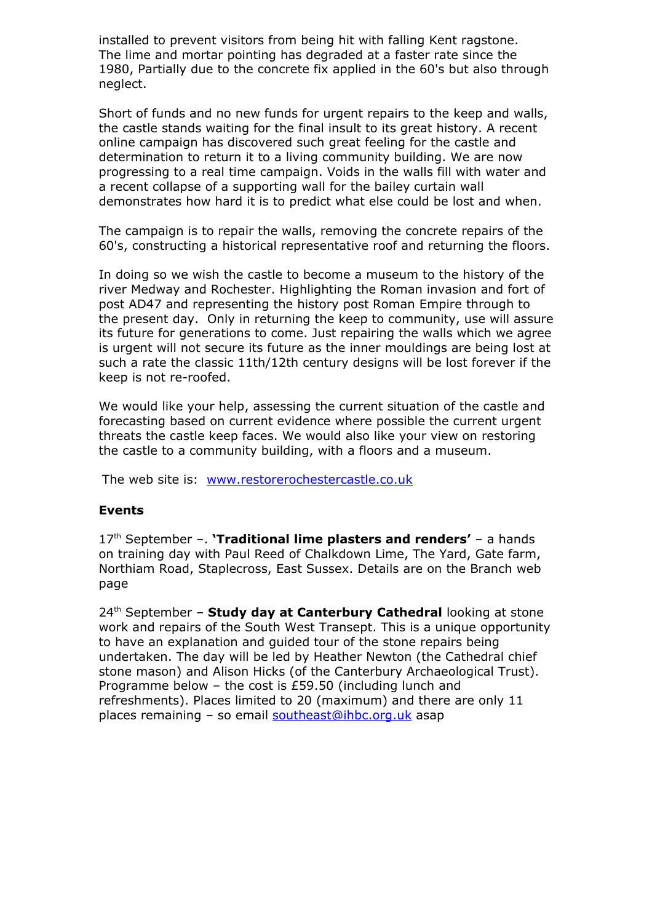installed to prevent visitors from being hit with falling Kent ragstone. The lime and mortar pointing has degraded at a faster rate since the 1980, Partially due to the concrete fix applied in the 60's but also through neglect.

Short of funds and no new funds for urgent repairs to the keep and walls, the castle stands waiting for the final insult to its great history. A recent online campaign has discovered such great feeling for the castle and determination to return it to a living community building. We are now progressing to a real time campaign. Voids in the walls fill with water and a recent collapse of a supporting wall for the bailey curtain wall demonstrates how hard it is to predict what else could be lost and when.

The campaign is to repair the walls, removing the concrete repairs of the 60's, constructing a historical representative roof and returning the floors.

In doing so we wish the castle to become a museum to the history of the river Medway and Rochester. Highlighting the Roman invasion and fort of post AD47 and representing the history post Roman Empire through to the present day. Only in returning the keep to community, use will assure its future for generations to come. Just repairing the walls which we agree is urgent will not secure its future as the inner mouldings are being lost at such a rate the classic 11th/12th century designs will be lost forever if the keep is not re-roofed.

We would like your help, assessing the current situation of the castle and forecasting based on current evidence where possible the current urgent threats the castle keep faces. We would also like your view on restoring the castle to a community building, with a floors and a museum.

The web site is: [www.restorerochestercastle.co.uk](http://www.restorerochestercastle.co.uk/)

## **Events**

17th September –. **'Traditional lime plasters and renders'** – a hands on training day with Paul Reed of Chalkdown Lime, The Yard, Gate farm, Northiam Road, Staplecross, East Sussex. Details are on the Branch web page

24th September – **Study day at Canterbury Cathedral** looking at stone work and repairs of the South West Transept. This is a unique opportunity to have an explanation and guided tour of the stone repairs being undertaken. The day will be led by Heather Newton (the Cathedral chief stone mason) and Alison Hicks (of the Canterbury Archaeological Trust). Programme below – the cost is £59.50 (including lunch and refreshments). Places limited to 20 (maximum) and there are only 11 places remaining – so email [southeast@ihbc.org.uk](mailto:southeast@ihbc.org.uk) asap